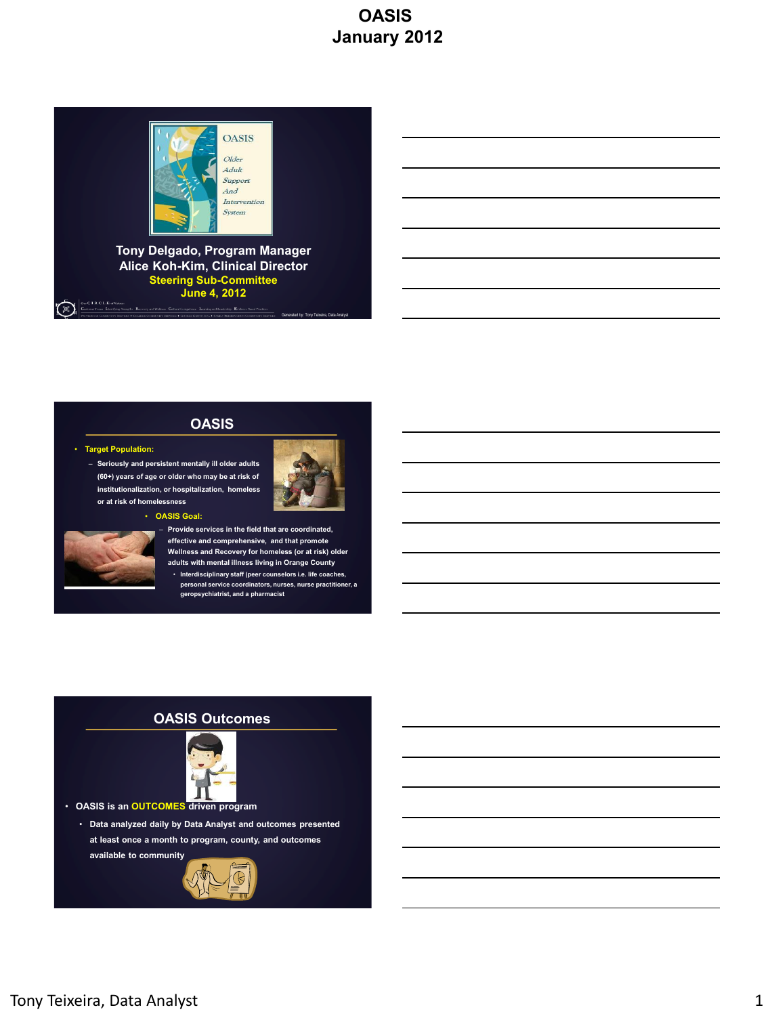

**Tony Delgado, Program Manager Alice Koh-Kim, Clinical Director Steering Sub-Committee June 4, 2012** One C I R C L E of Value

#### **OASIS**

#### • **Target Population:**

িং

– **Seriously and persistent mentally ill older adults (60+) years of age or older who may be at risk of institutionalization, or hospitalization, homeless or at risk of homelessness**



Generated by: Tony Teixeira, Data Analyst





#### – **Provide services in the field that are coordinated, effective and comprehensive, and that promote Wellness and Recovery for homeless (or at risk) older adults with mental illness living in Orange County**

• **Interdisciplinary staff (peer counselors i.e. life coaches, personal service coordinators, nurses, nurse practitioner, a geropsychiatrist, and a pharmacist**

### **OASIS Outcomes**



• **OASIS is an OUTCOMES driven program**

• **Data analyzed daily by Data Analyst and outcomes presented at least once a month to program, county, and outcomes available to community**

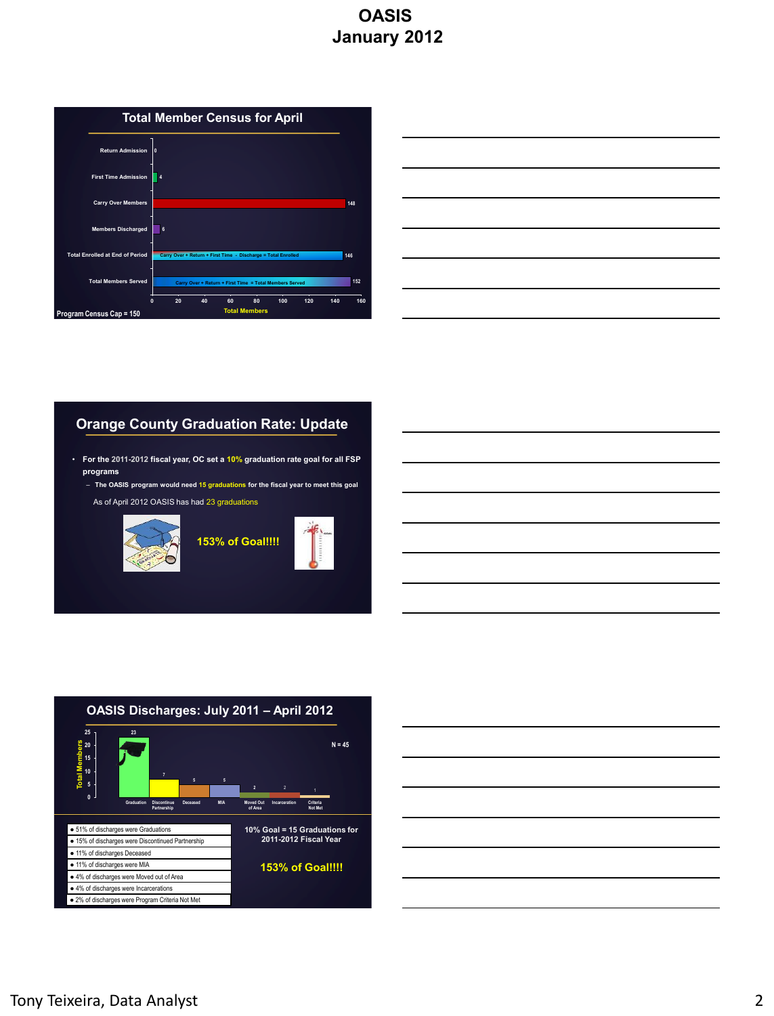

| <u> 1989 - Johann Stoff, deutscher Stoff, der Stoff, der Stoff, der Stoff, der Stoff, der Stoff, der Stoff, der S</u> |  |  |
|-----------------------------------------------------------------------------------------------------------------------|--|--|
| <u> 1989 - Johann Stoff, deutscher Stoff, der Stoff, der Stoff, der Stoff, der Stoff, der Stoff, der Stoff, der S</u> |  |  |
| <u> 1989 - Johann Stoff, deutscher Stoff, der Stoff, der Stoff, der Stoff, der Stoff, der Stoff, der Stoff, der S</u> |  |  |
| <u> 1989 - Johann Stoff, deutscher Stoff, der Stoff, der Stoff, der Stoff, der Stoff, der Stoff, der Stoff, der S</u> |  |  |
| <u> 1989 - Johann Stoff, deutscher Stoffen und der Stoffen und der Stoffen und der Stoffen und der Stoffen und de</u> |  |  |
| <u> 1989 - Johann Stoff, deutscher Stoff, der Stoff, der Stoff, der Stoff, der Stoff, der Stoff, der Stoff, der S</u> |  |  |
|                                                                                                                       |  |  |

### **Orange County Graduation Rate: Update**

- **For the 2011-2012 fiscal year, OC set a 10% graduation rate goal for all FSP programs**
	- **The OASIS program would need 15 graduations for the fiscal year to meet this goal**
	- As of April 2012 OASIS has had 23 graduations



**153% of Goal!!!!**





| ,我们也不会有什么。""我们的人,我们也不会有什么?""我们的人,我们也不会有什么?""我们的人,我们也不会有什么?""我们的人,我们也不会有什么?""我们的人                                      |  | the control of the control of the control of |
|-----------------------------------------------------------------------------------------------------------------------|--|----------------------------------------------|
|                                                                                                                       |  |                                              |
| <u> 1989 - Andrea Santa Andrea Andrea Andrea Andrea Andrea Andrea Andrea Andrea Andrea Andrea Andrea Andrea Andr</u>  |  |                                              |
|                                                                                                                       |  |                                              |
| <u> 1989 - Johann Stoff, deutscher Stoffen und der Stoffen und der Stoffen und der Stoffen und der Stoffen und de</u> |  |                                              |
| and the control of the control of the control of the control of the control of the control of the control of the      |  |                                              |
|                                                                                                                       |  |                                              |
|                                                                                                                       |  |                                              |
|                                                                                                                       |  |                                              |
|                                                                                                                       |  |                                              |
|                                                                                                                       |  |                                              |
|                                                                                                                       |  |                                              |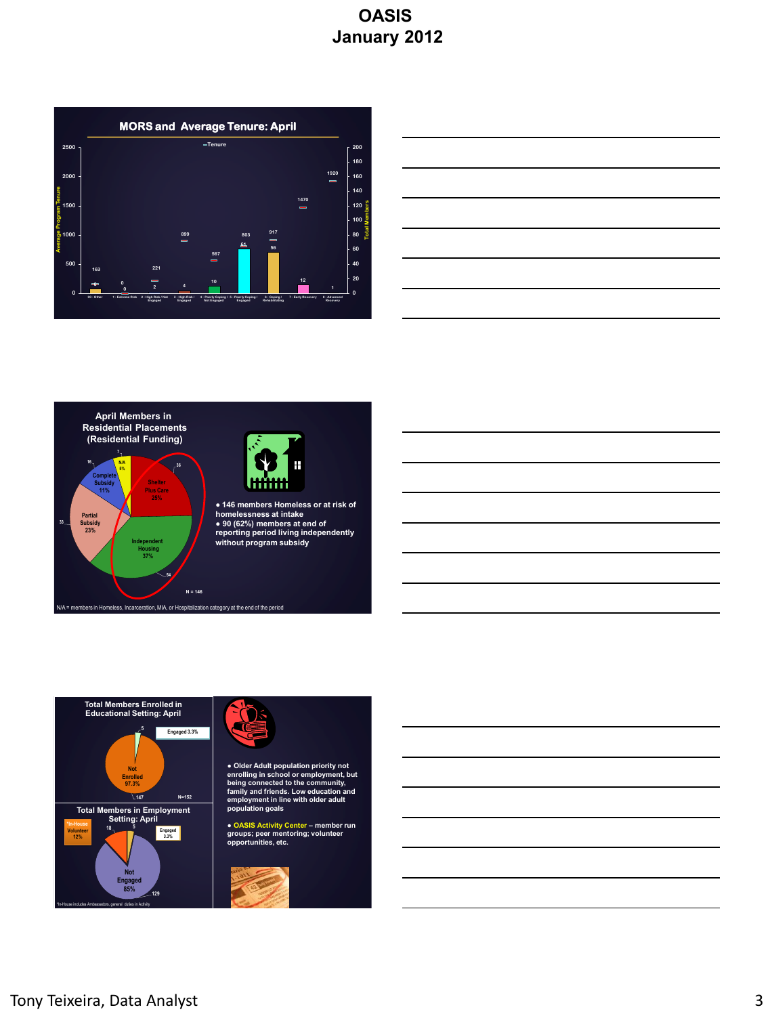







**● 146 members Homeless or at risk of homelessness at intake ● 90 (62%) members at end of reporting period living independently without program subsidy**





**● Older Adult population priority not enrolling in school or employment, but being connected to the community, family and friends. Low education and employment in line with older adult population goals**

**● OASIS Activity Center – member run groups; peer mentoring; volunteer opportunities, etc.**

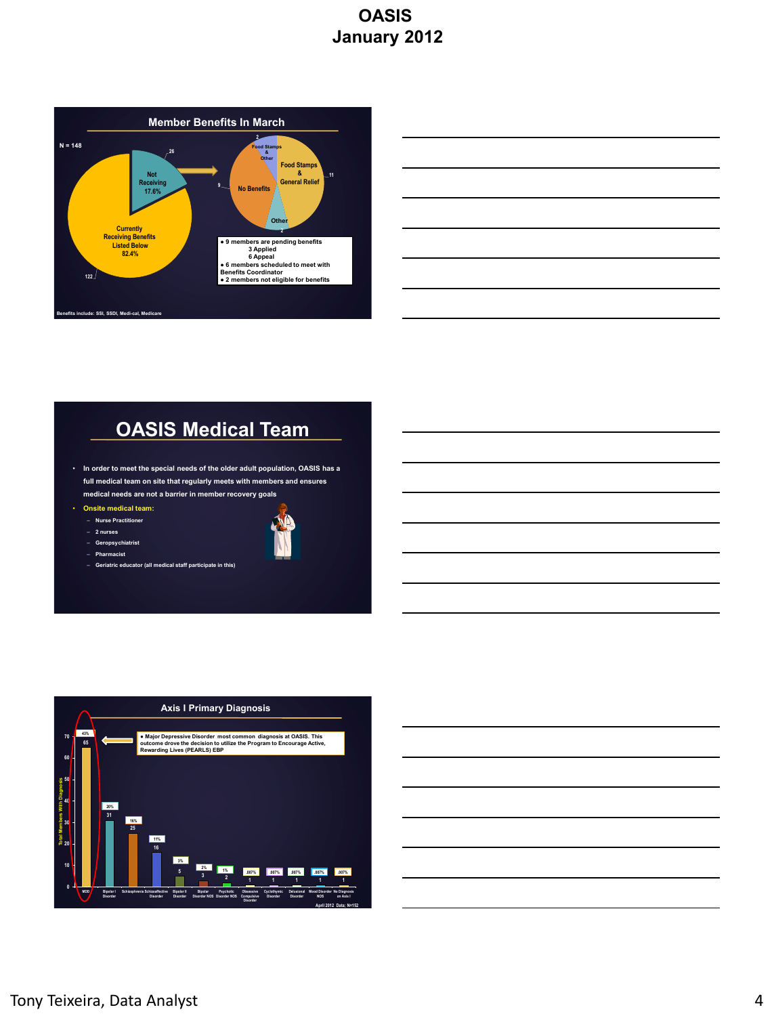

| <u> 1989 - Johann Stoff, deutscher Stoff, der Stoff, der Stoff, der Stoff, der Stoff, der Stoff, der Stoff, der S</u>  |  |                                   |
|------------------------------------------------------------------------------------------------------------------------|--|-----------------------------------|
| <u> 1989 - Johann Stoff, deutscher Stoff, der Stoff, der Stoff, der Stoff, der Stoff, der Stoff, der Stoff, der S</u>  |  |                                   |
| <u> 1989 - Johann Stoff, amerikansk politiker (d. 1989)</u>                                                            |  | the control of the control of the |
| <u> 1989 - Johann Barn, mars ann an t-Amhain ann an t-Amhain ann an t-Amhain ann an t-Amhain an t-Amhain ann an t-</u> |  |                                   |
|                                                                                                                        |  |                                   |
|                                                                                                                        |  |                                   |

# **OASIS Medical Team**

- **In order to meet the special needs of the older adult population, OASIS has a full medical team on site that regularly meets with members and ensures medical needs are not a barrier in member recovery goals**
- **Onsite medical team:**
- **- Nurse Practitione**
- **2 nurses**
- **Geropsychiatrist** – **Pharmacist**
- **Geriatric educator (all medical staff participate in this)**